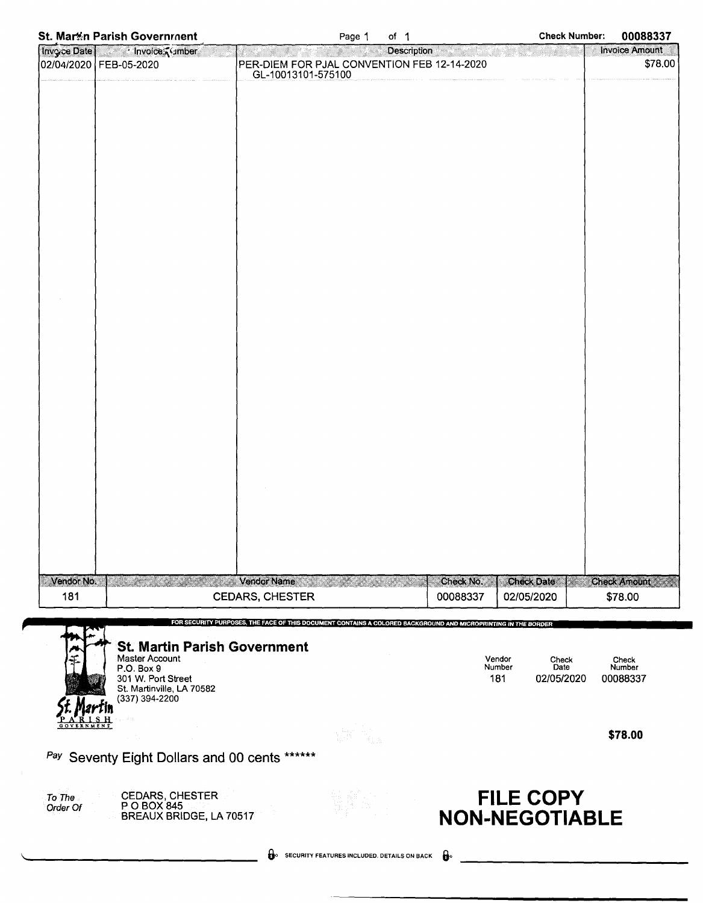|  |  |  | <b>St. Mar#n Parish Government</b> |
|--|--|--|------------------------------------|
|--|--|--|------------------------------------|

|             | St. Mar%n Parish Government                           |                                                                                                                | Page 1 | of $1$             |               | <b>Check Number:</b>  | 00088337                         |
|-------------|-------------------------------------------------------|----------------------------------------------------------------------------------------------------------------|--------|--------------------|---------------|-----------------------|----------------------------------|
| Invoce Date | · Invoice <i>i</i> umber                              |                                                                                                                |        | <b>Description</b> |               |                       | <b>Invoice Amount</b><br>\$78.00 |
|             | 02/04/2020   FEB-05-2020                              | PER-DIEM FOR PJAL CONVENTION FEB 12-14-2020<br>GL-10013101-575100                                              |        |                    |               |                       |                                  |
|             |                                                       |                                                                                                                |        |                    |               |                       |                                  |
|             |                                                       |                                                                                                                |        |                    |               |                       |                                  |
|             |                                                       |                                                                                                                |        |                    |               |                       |                                  |
|             |                                                       |                                                                                                                |        |                    |               |                       |                                  |
|             |                                                       |                                                                                                                |        |                    |               |                       |                                  |
|             |                                                       |                                                                                                                |        |                    |               |                       |                                  |
|             |                                                       |                                                                                                                |        |                    |               |                       |                                  |
|             |                                                       |                                                                                                                |        |                    |               |                       |                                  |
|             |                                                       |                                                                                                                |        |                    |               |                       |                                  |
|             |                                                       |                                                                                                                |        |                    |               |                       |                                  |
|             |                                                       |                                                                                                                |        |                    |               |                       |                                  |
|             |                                                       |                                                                                                                |        |                    |               |                       |                                  |
|             |                                                       |                                                                                                                |        |                    |               |                       |                                  |
|             |                                                       |                                                                                                                |        |                    |               |                       |                                  |
|             |                                                       |                                                                                                                |        |                    |               |                       |                                  |
|             |                                                       |                                                                                                                |        |                    |               |                       |                                  |
|             |                                                       |                                                                                                                |        |                    |               |                       |                                  |
|             |                                                       |                                                                                                                |        |                    |               |                       |                                  |
|             |                                                       |                                                                                                                |        |                    |               |                       |                                  |
|             |                                                       |                                                                                                                |        |                    |               |                       |                                  |
|             |                                                       |                                                                                                                |        |                    |               |                       |                                  |
|             |                                                       |                                                                                                                |        |                    |               |                       |                                  |
|             |                                                       |                                                                                                                |        |                    |               |                       |                                  |
|             |                                                       |                                                                                                                |        |                    |               |                       |                                  |
|             |                                                       |                                                                                                                |        |                    |               |                       |                                  |
| Vendor No.  |                                                       | <b>Vendor Name</b>                                                                                             |        |                    | Check No.     | <b>Check Date</b>     | <b>Check Amount</b>              |
| 181         |                                                       | <b>CEDARS, CHESTER</b>                                                                                         |        |                    | 00088337      | 02/05/2020            | \$78.00                          |
|             |                                                       | FOR SECURITY PURPOSES, THE FACE OF THIS DOCUMENT CONTAINS A COLORED BACKGROUND AND MICROPRINTING IN THE BORDER |        |                    |               |                       |                                  |
|             |                                                       |                                                                                                                |        |                    |               |                       |                                  |
|             | <b>St. Martin Parish Government</b><br>Master Account |                                                                                                                |        |                    | Vendor        | Check                 | Check                            |
|             | P.O. Box 9<br>301 W. Port Street                      |                                                                                                                |        |                    | Number<br>181 | Date<br>02/05/2020    | Number<br>00088337               |
|             | St. Martinville, LA 70582<br>(337) 394-2200           |                                                                                                                |        |                    |               |                       |                                  |
|             |                                                       |                                                                                                                |        |                    |               |                       |                                  |
|             |                                                       |                                                                                                                |        |                    |               |                       | \$78.00                          |
|             | Pay Seventy Eight Dollars and 00 cents ******         |                                                                                                                |        |                    |               |                       |                                  |
|             |                                                       |                                                                                                                |        |                    |               |                       |                                  |
| To The      | CEDARS, CHESTER                                       |                                                                                                                |        |                    |               | <b>FILE COPY</b>      |                                  |
| Order Of    | P.O.BOX 845<br>BREAUX BRIDGE, LA 70517                |                                                                                                                |        |                    |               | <b>NON-NEGOTIABLE</b> |                                  |
|             |                                                       |                                                                                                                |        |                    |               |                       |                                  |
|             |                                                       | SECURITY FEATURES INCLUDED. DETAILS ON BACK                                                                    |        |                    | $\mathbf{e}$  |                       |                                  |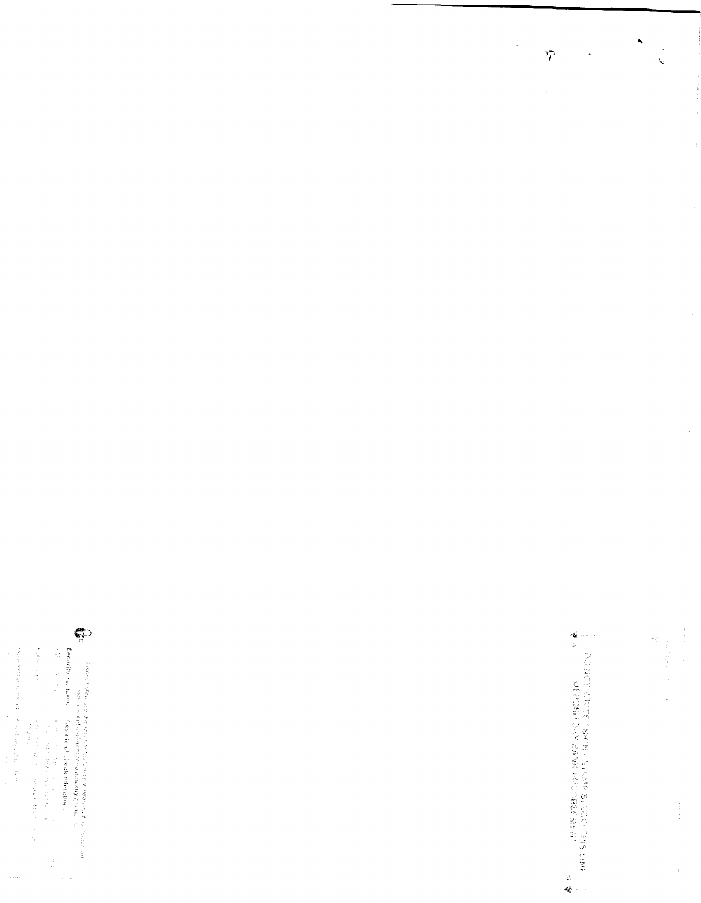$\label{eq:2.1} \begin{array}{lllllllllll} \mathbf{u} & \mathbf{v} & \mathbf{v} & \mathbf{v} & \mathbf{v} & \mathbf{v} & \mathbf{v} & \mathbf{v} & \mathbf{v} & \mathbf{v} & \mathbf{v} \\ \mathbf{v} & \mathbf{v} & \mathbf{v} & \mathbf{v} & \mathbf{v} & \mathbf{v} & \mathbf{v} & \mathbf{v} & \mathbf{v} & \mathbf{v} & \mathbf{v} & \mathbf{v} & \mathbf{v} \\ \mathbf{v} & \mathbf{v} & \mathbf{v} & \mathbf{v} & \mathbf$ 

The company of 医皮质病 医皮质 医单位的 医前列腺 医静脉

 $\overline{\phantom{a}}$ 

Secondy Passing Ceodisco Second Second Steel  $\label{eq:2.1} \frac{d\mathbf{x}}{d\mathbf{x}} = \frac{1}{2} \frac{d\mathbf{x}}{d\mathbf{x}} + \frac{1}{2} \frac{d\mathbf{x}}{d\mathbf{x}} + \frac{1}{2} \frac{d\mathbf{x}}{d\mathbf{x}} + \frac{1}{2} \frac{d\mathbf{x}}{d\mathbf{x}} + \frac{1}{2} \frac{d\mathbf{x}}{d\mathbf{x}} + \frac{1}{2} \frac{d\mathbf{x}}{d\mathbf{x}} + \frac{1}{2} \frac{d\mathbf{x}}{d\mathbf{x}} + \frac{1}{2} \frac{d\mathbf{x}}{d\mathbf{x}} + \frac$ 

 $\frac{1}{2}$ 

 $\hat{\mathcal{L}}$ 

lastical subps, use the knowled forthway provided as produced in the result of the state of the state of the state of the state of the produced as a produced contained in the state of the state of the produced and develop



 $\ddot{\phantom{0}}$ 

 $\tilde{a}$ 

 $\ddot{\phantom{0}}$ 

X

Φ.<br>1990 - Σουάντ Σολοκ, επιτερίπες για την επιτερίπες της επιτερί 

 $\frac{1}{2}$ 

 $\frac{1}{2}$